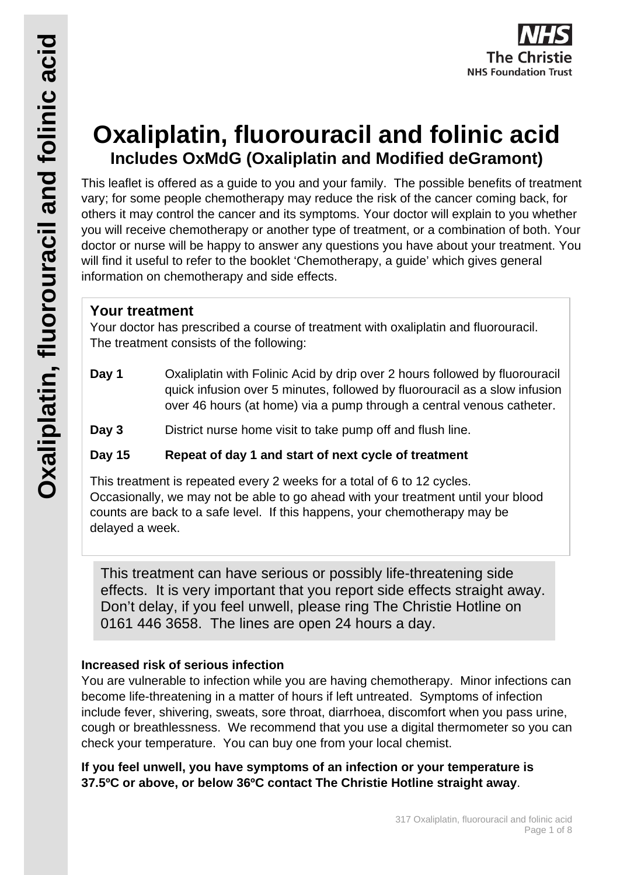# **Oxaliplatin, fluorouracil and folinic acid Includes OxMdG (Oxaliplatin and Modified deGramont)**

This leaflet is offered as a guide to you and your family. The possible benefits of treatment vary; for some people chemotherapy may reduce the risk of the cancer coming back, for others it may control the cancer and its symptoms. Your doctor will explain to you whether you will receive chemotherapy or another type of treatment, or a combination of both. Your doctor or nurse will be happy to answer any questions you have about your treatment. You will find it useful to refer to the booklet 'Chemotherapy, a guide' which gives general information on chemotherapy and side effects.

## **Your treatment**

Your doctor has prescribed a course of treatment with oxaliplatin and fluorouracil. The treatment consists of the following:

- **Day 1** Oxaliplatin with Folinic Acid by drip over 2 hours followed by fluorouracil quick infusion over 5 minutes, followed by fluorouracil as a slow infusion over 46 hours (at home) via a pump through a central venous catheter.
- **Day 3** District nurse home visit to take pump off and flush line.

### **Day 15 Repeat of day 1 and start of next cycle of treatment**

This treatment is repeated every 2 weeks for a total of 6 to 12 cycles. Occasionally, we may not be able to go ahead with your treatment until your blood counts are back to a safe level. If this happens, your chemotherapy may be delayed a week.

This treatment can have serious or possibly life-threatening side effects. It is very important that you report side effects straight away. Don't delay, if you feel unwell, please ring The Christie Hotline on 0161 446 3658. The lines are open 24 hours a day.

### **Increased risk of serious infection**

You are vulnerable to infection while you are having chemotherapy. Minor infections can become life-threatening in a matter of hours if left untreated. Symptoms of infection include fever, shivering, sweats, sore throat, diarrhoea, discomfort when you pass urine, cough or breathlessness. We recommend that you use a digital thermometer so you can check your temperature. You can buy one from your local chemist.

**If you feel unwell, you have symptoms of an infection or your temperature is 37.5ºC or above, or below 36ºC contact The Christie Hotline straight away**.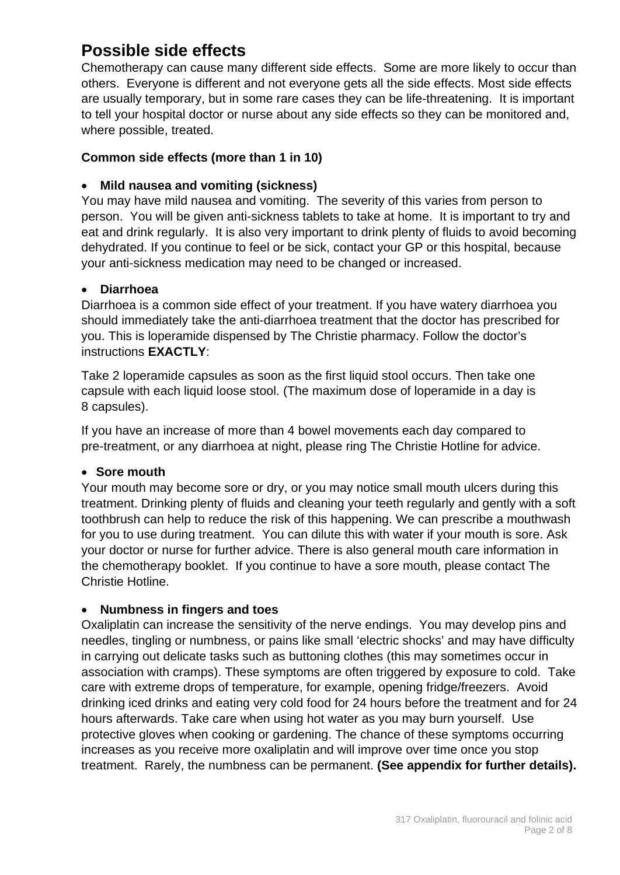## **Possible side effects**

Chemotherapy can cause many different side effects. Some are more likely to occur than others. Everyone is different and not everyone gets all the side effects. Most side effects are usually temporary, but in some rare cases they can be life-threatening. It is important to tell your hospital doctor or nurse about any side effects so they can be monitored and, where possible, treated.

#### **Common side effects (more than 1 in 10)**

#### • **Mild nausea and vomiting (sickness)**

You may have mild nausea and vomiting. The severity of this varies from person to person. You will be given anti-sickness tablets to take at home. It is important to try and eat and drink regularly. It is also very important to drink plenty of fluids to avoid becoming dehydrated. If you continue to feel or be sick, contact your GP or this hospital, because your anti-sickness medication may need to be changed or increased.

#### • **Diarrhoea**

Diarrhoea is a common side effect of your treatment. If you have watery diarrhoea you should immediately take the anti-diarrhoea treatment that the doctor has prescribed for you. This is loperamide dispensed by The Christie pharmacy. Follow the doctor's instructions **EXACTLY**:

Take 2 loperamide capsules as soon as the first liquid stool occurs. Then take one capsule with each liquid loose stool. (The maximum dose of loperamide in a day is 8 capsules).

If you have an increase of more than 4 bowel movements each day compared to pre-treatment, or any diarrhoea at night, please ring The Christie Hotline for advice.

#### • **Sore mouth**

Your mouth may become sore or dry, or you may notice small mouth ulcers during this treatment. Drinking plenty of fluids and cleaning your teeth regularly and gently with a soft toothbrush can help to reduce the risk of this happening. We can prescribe a mouthwash for you to use during treatment. You can dilute this with water if your mouth is sore. Ask your doctor or nurse for further advice. There is also general mouth care information in the chemotherapy booklet. If you continue to have a sore mouth, please contact The Christie Hotline.

#### • **Numbness in fingers and toes**

Oxaliplatin can increase the sensitivity of the nerve endings. You may develop pins and needles, tingling or numbness, or pains like small 'electric shocks' and may have difficulty in carrying out delicate tasks such as buttoning clothes (this may sometimes occur in association with cramps). These symptoms are often triggered by exposure to cold. Take care with extreme drops of temperature, for example, opening fridge/freezers. Avoid drinking iced drinks and eating very cold food for 24 hours before the treatment and for 24 hours afterwards. Take care when using hot water as you may burn yourself. Use protective gloves when cooking or gardening. The chance of these symptoms occurring increases as you receive more oxaliplatin and will improve over time once you stop treatment. Rarely, the numbness can be permanent. **(See appendix for further details).**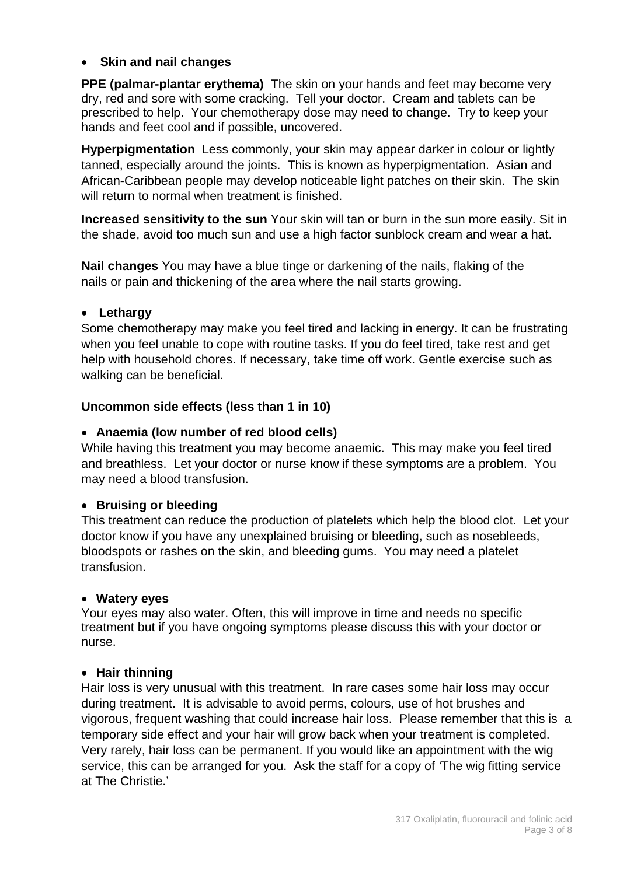#### • **Skin and nail changes**

**PPE (palmar-plantar erythema)** The skin on your hands and feet may become very dry, red and sore with some cracking. Tell your doctor. Cream and tablets can be prescribed to help. Your chemotherapy dose may need to change. Try to keep your hands and feet cool and if possible, uncovered.

**Hyperpigmentation** Less commonly, your skin may appear darker in colour or lightly tanned, especially around the joints. This is known as hyperpigmentation. Asian and African-Caribbean people may develop noticeable light patches on their skin. The skin will return to normal when treatment is finished.

**Increased sensitivity to the sun** Your skin will tan or burn in the sun more easily. Sit in the shade, avoid too much sun and use a high factor sunblock cream and wear a hat.

**Nail changes** You may have a blue tinge or darkening of the nails, flaking of the nails or pain and thickening of the area where the nail starts growing.

#### • **Lethargy**

Some chemotherapy may make you feel tired and lacking in energy. It can be frustrating when you feel unable to cope with routine tasks. If you do feel tired, take rest and get help with household chores. If necessary, take time off work. Gentle exercise such as walking can be beneficial.

#### **Uncommon side effects (less than 1 in 10)**

#### • **Anaemia (low number of red blood cells)**

While having this treatment you may become anaemic. This may make you feel tired and breathless. Let your doctor or nurse know if these symptoms are a problem. You may need a blood transfusion.

#### • **Bruising or bleeding**

This treatment can reduce the production of platelets which help the blood clot. Let your doctor know if you have any unexplained bruising or bleeding, such as nosebleeds, bloodspots or rashes on the skin, and bleeding gums. You may need a platelet transfusion.

#### • **Watery eyes**

Your eyes may also water. Often, this will improve in time and needs no specific treatment but if you have ongoing symptoms please discuss this with your doctor or nurse.

#### • **Hair thinning**

Hair loss is very unusual with this treatment. In rare cases some hair loss may occur during treatment. It is advisable to avoid perms, colours, use of hot brushes and vigorous, frequent washing that could increase hair loss. Please remember that this is a temporary side effect and your hair will grow back when your treatment is completed. Very rarely, hair loss can be permanent. If you would like an appointment with the wig service, this can be arranged for you. Ask the staff for a copy of *'*The wig fitting service at The Christie.'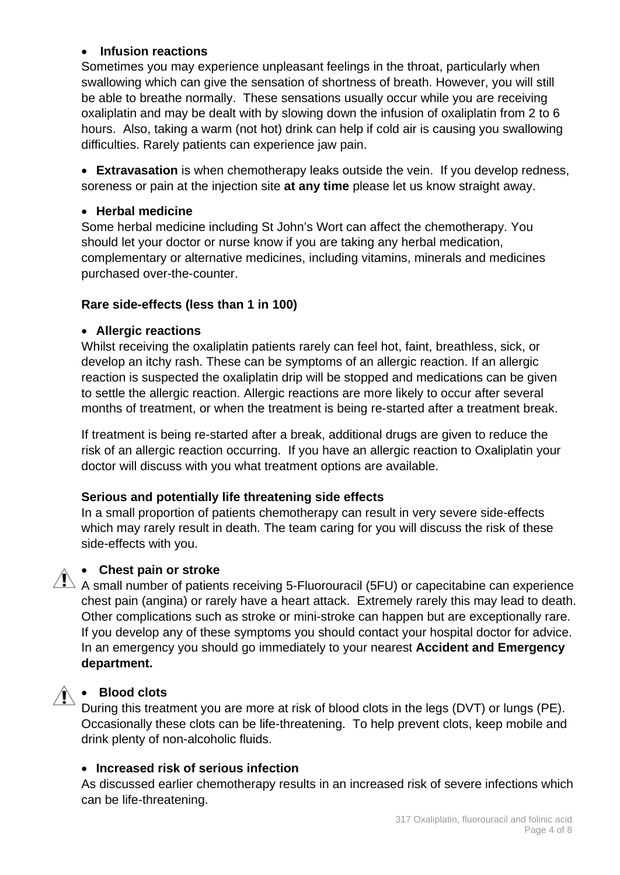#### • **Infusion reactions**

Sometimes you may experience unpleasant feelings in the throat, particularly when swallowing which can give the sensation of shortness of breath. However, you will still be able to breathe normally. These sensations usually occur while you are receiving oxaliplatin and may be dealt with by slowing down the infusion of oxaliplatin from 2 to 6 hours. Also, taking a warm (not hot) drink can help if cold air is causing you swallowing difficulties. Rarely patients can experience jaw pain.

• **Extravasation** is when chemotherapy leaks outside the vein. If you develop redness, soreness or pain at the injection site **at any time** please let us know straight away.

#### • **Herbal medicine**

Some herbal medicine including St John's Wort can affect the chemotherapy. You should let your doctor or nurse know if you are taking any herbal medication, complementary or alternative medicines, including vitamins, minerals and medicines purchased over-the-counter.

#### **Rare side-effects (less than 1 in 100)**

#### • **Allergic reactions**

Whilst receiving the oxaliplatin patients rarely can feel hot, faint, breathless, sick, or develop an itchy rash. These can be symptoms of an allergic reaction. If an allergic reaction is suspected the oxaliplatin drip will be stopped and medications can be given to settle the allergic reaction. Allergic reactions are more likely to occur after several months of treatment, or when the treatment is being re-started after a treatment break.

If treatment is being re-started after a break, additional drugs are given to reduce the risk of an allergic reaction occurring. If you have an allergic reaction to Oxaliplatin your doctor will discuss with you what treatment options are available.

#### **Serious and potentially life threatening side effects**

In a small proportion of patients chemotherapy can result in very severe side-effects which may rarely result in death. The team caring for you will discuss the risk of these side-effects with you.



#### • **Chest pain or stroke**

 $\triangle$  A small number of patients receiving 5-Fluorouracil (5FU) or capecitabine can experience chest pain (angina) or rarely have a heart attack. Extremely rarely this may lead to death. Other complications such as stroke or mini-stroke can happen but are exceptionally rare. If you develop any of these symptoms you should contact your hospital doctor for advice. In an emergency you should go immediately to your nearest **Accident and Emergency department.**

#### • **Blood clots**

During this treatment you are more at risk of blood clots in the legs (DVT) or lungs (PE). Occasionally these clots can be life-threatening. To help prevent clots, keep mobile and drink plenty of non-alcoholic fluids.

#### • **Increased risk of serious infection**

As discussed earlier chemotherapy results in an increased risk of severe infections which can be life-threatening.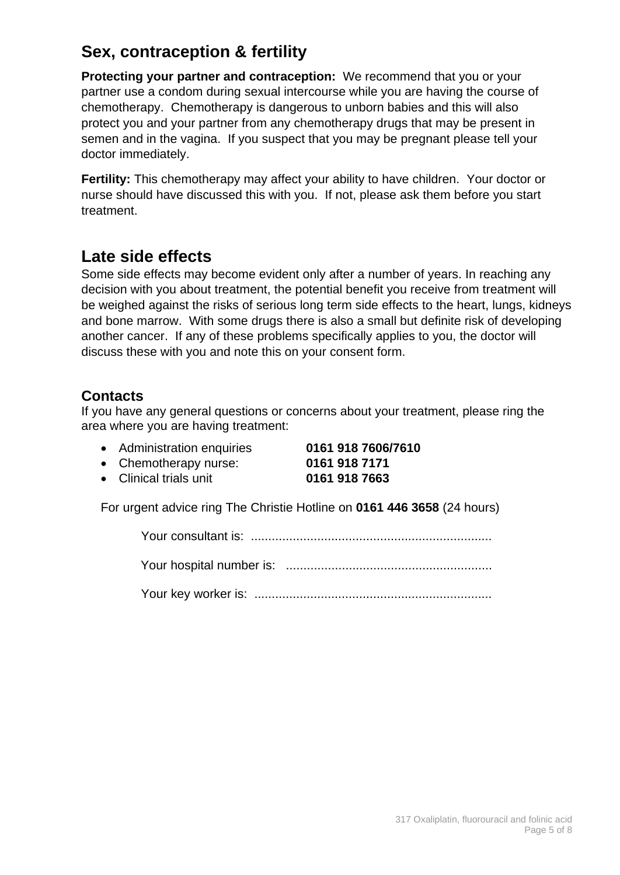## **Sex, contraception & fertility**

**Protecting your partner and contraception:** We recommend that you or your partner use a condom during sexual intercourse while you are having the course of chemotherapy. Chemotherapy is dangerous to unborn babies and this will also protect you and your partner from any chemotherapy drugs that may be present in semen and in the vagina. If you suspect that you may be pregnant please tell your doctor immediately.

**Fertility:** This chemotherapy may affect your ability to have children. Your doctor or nurse should have discussed this with you. If not, please ask them before you start treatment.

## **Late side effects**

Some side effects may become evident only after a number of years. In reaching any decision with you about treatment, the potential benefit you receive from treatment will be weighed against the risks of serious long term side effects to the heart, lungs, kidneys and bone marrow. With some drugs there is also a small but definite risk of developing another cancer. If any of these problems specifically applies to you, the doctor will discuss these with you and note this on your consent form.

### **Contacts**

If you have any general questions or concerns about your treatment, please ring the area where you are having treatment:

• Administration enquiries **0161 918 7606/7610**

• Chemotherapy nurse: **0161 918 7171**

• Clinical trials unit **0161 918 7663**

For urgent advice ring The Christie Hotline on **0161 446 3658** (24 hours)

Your consultant is: .....................................................................

Your hospital number is: ...........................................................

Your key worker is: ....................................................................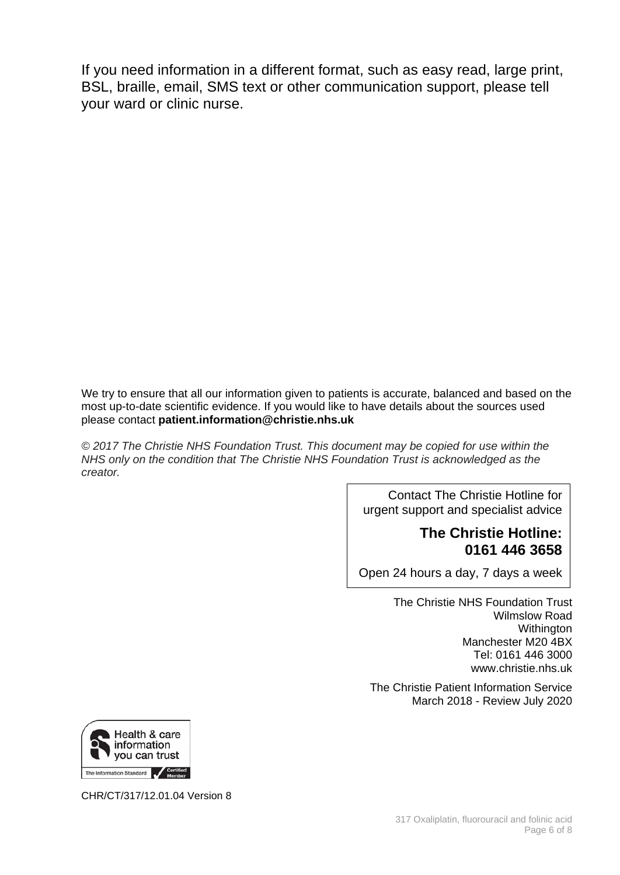If you need information in a different format, such as easy read, large print, BSL, braille, email, SMS text or other communication support, please tell your ward or clinic nurse.

We try to ensure that all our information given to patients is accurate, balanced and based on the most up-to-date scientific evidence. If you would like to have details about the sources used please contact **patient.information@christie.nhs.uk** 

*© 2017 The Christie NHS Foundation Trust. This document may be copied for use within the NHS only on the condition that The Christie NHS Foundation Trust is acknowledged as the creator.* 

> Contact The Christie Hotline for urgent support and specialist advice

#### **The Christie Hotline: 0161 446 3658**

Open 24 hours a day, 7 days a week

The Christie NHS Foundation Trust Wilmslow Road Withington Manchester M20 4BX Tel: 0161 446 3000 www.christie.nhs.uk

The Christie Patient Information Service March 2018 - Review July 2020



CHR/CT/317/12.01.04 Version 8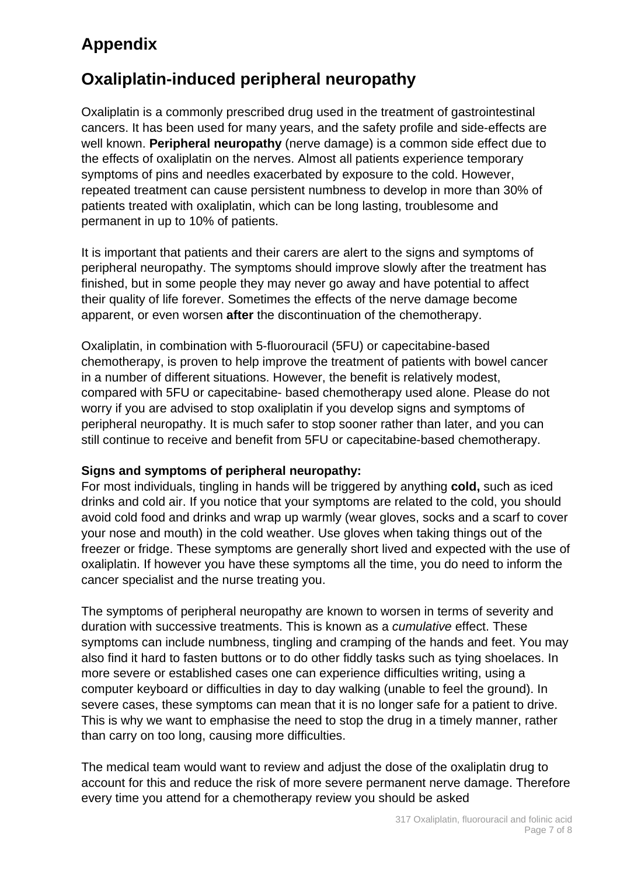## **Appendix**

## **Oxaliplatin-induced peripheral neuropathy**

Oxaliplatin is a commonly prescribed drug used in the treatment of gastrointestinal cancers. It has been used for many years, and the safety profile and side-effects are well known. **Peripheral neuropathy** (nerve damage) is a common side effect due to the effects of oxaliplatin on the nerves. Almost all patients experience temporary symptoms of pins and needles exacerbated by exposure to the cold. However, repeated treatment can cause persistent numbness to develop in more than 30% of patients treated with oxaliplatin, which can be long lasting, troublesome and permanent in up to 10% of patients.

It is important that patients and their carers are alert to the signs and symptoms of peripheral neuropathy. The symptoms should improve slowly after the treatment has finished, but in some people they may never go away and have potential to affect their quality of life forever. Sometimes the effects of the nerve damage become apparent, or even worsen **after** the discontinuation of the chemotherapy.

Oxaliplatin, in combination with 5-fluorouracil (5FU) or capecitabine-based chemotherapy, is proven to help improve the treatment of patients with bowel cancer in a number of different situations. However, the benefit is relatively modest, compared with 5FU or capecitabine- based chemotherapy used alone. Please do not worry if you are advised to stop oxaliplatin if you develop signs and symptoms of peripheral neuropathy. It is much safer to stop sooner rather than later, and you can still continue to receive and benefit from 5FU or capecitabine-based chemotherapy.

#### **Signs and symptoms of peripheral neuropathy:**

For most individuals, tingling in hands will be triggered by anything **cold,** such as iced drinks and cold air. If you notice that your symptoms are related to the cold, you should avoid cold food and drinks and wrap up warmly (wear gloves, socks and a scarf to cover your nose and mouth) in the cold weather. Use gloves when taking things out of the freezer or fridge. These symptoms are generally short lived and expected with the use of oxaliplatin. If however you have these symptoms all the time, you do need to inform the cancer specialist and the nurse treating you.

The symptoms of peripheral neuropathy are known to worsen in terms of severity and duration with successive treatments. This is known as a *cumulative* effect. These symptoms can include numbness, tingling and cramping of the hands and feet. You may also find it hard to fasten buttons or to do other fiddly tasks such as tying shoelaces. In more severe or established cases one can experience difficulties writing, using a computer keyboard or difficulties in day to day walking (unable to feel the ground). In severe cases, these symptoms can mean that it is no longer safe for a patient to drive. This is why we want to emphasise the need to stop the drug in a timely manner, rather than carry on too long, causing more difficulties.

The medical team would want to review and adjust the dose of the oxaliplatin drug to account for this and reduce the risk of more severe permanent nerve damage. Therefore every time you attend for a chemotherapy review you should be asked